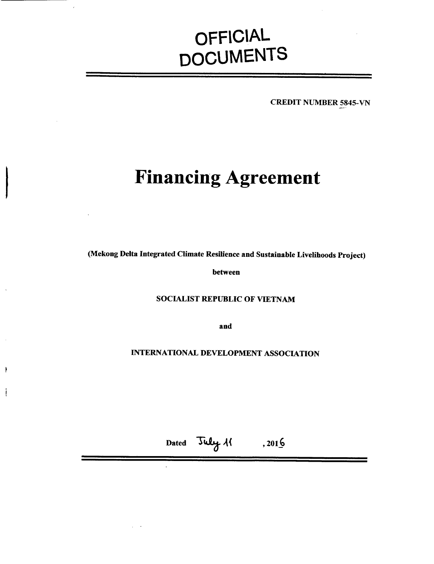# **OFFICIAL DOCUMENTS**

CREDIT NUMBER *5845-VN*

# **Financing Agreement**

(Mekong Delta Integrated Climate Resilience and Sustainable Livelihoods Project)

between

# **SOCIALIST** REPUBLIC OF **VIETNAM**

and

**INTERNATIONAL DEVELOPMENT ASSOCIATION**

Dated July 11 , 2016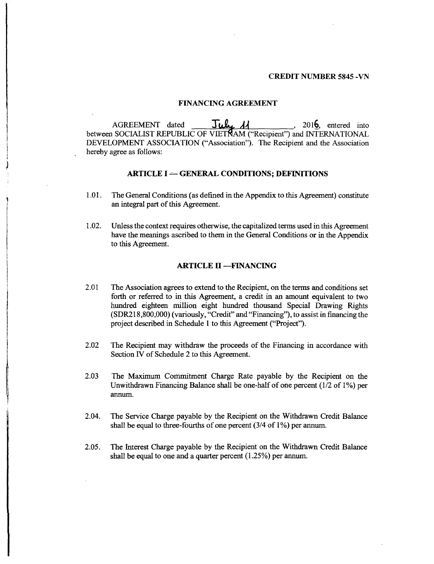# **CREDIT NUMBER** *5845* **-VN**

#### **FINANCING AGREEMENT**

AGREEMENT dated **July 11** \_\_\_\_\_\_\_, 2016, entered into between **SOCIALIST REPUBLIC** OF VIETRAM ("Recipient") and **INTERNATIONAL DEVELOPMENT ASSOCIATION** ("Association"). The Recipient and the Association hereby agree as follows:

# **ARTICLE I - GENERAL CONDITIONS; DEFINITIONS**

- **1.01. The** General Conditions (as defined in the Appendix to this Agreement) constitute an integral part of this Agreement.
- 1.02. Unless the context requires otherwise, the capitalized terms used in this Agreement have the meanings ascribed to them in the General Conditions or in the Appendix to this Agreement.

# **ARTICLE** H **-FINANCING**

- 2.01 The Association agrees to extend to the Recipient, on the terms and conditions set forth or referred to in this Agreement, a credit in an amount equivalent to two hundred eighteen million eight hundred thousand Special Drawing Rights **(SDR218,800,000)** (variously, "Credit" and "Financing"), to assist in financing the project described in Schedule 1 to this Agreement ("Project").
- 2.02 The Recipient may withdraw the proceeds of the Financing in accordance with Section IV of Schedule 2 to this Agreement.
- **2.03** The Maximum Commitment Charge Rate payable **by** the Recipient on the Unwithdrawn Financing Balance shall be one-half of one percent **(1/2** of **1%)** per annum.
- 2.04. The Service Charge payable **by** the Recipient on the Withdrawn Credit Balance shall be equal to three-fourths of one percent (3/4 of **1%)** per annum.
- *2.05.* The Interest Charge payable **by** the Recipient on the Withdrawn Credit Balance shall be equal to one and a quarter percent *(1.25%)* per annum.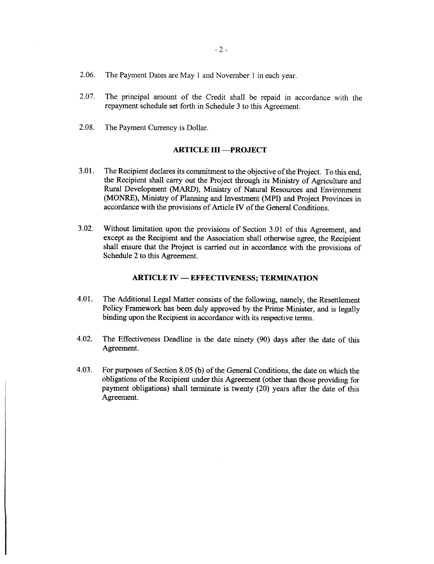- **2.06.** The Payment Dates are May **I** and November 1 in each year.
- **2.07.** The principal amount of the Credit shall be repaid in accordance with the repayment schedule set forth in Schedule **3** to this Agreement.
- **2.08.** The Payment Currency is Dollar.

# **ARTICLE III -- PROJECT**

- **3.01.** The Recipient declares its commitment to the objective of the Project. To this end, the Recipient shall carry out the Project through its Ministry of Agriculture and Rural Development (MARD), Ministry of Natural Resources and Environment (MONRE), Ministry of Planning and Investment (MPI) and Project Provinces in accordance with the provisions of Article IV of the General Conditions.
- **3.02.** Without limitation upon the provisions of Section **3.01** of this Agreement, and except as the Recipient and the Association shall otherwise agree, the Recipient shall ensure that the Project is carried out in accordance with the provisions of Schedule 2 to this Agreement.

# **ARTICLE IV - EFFECTIVENESS; TERMINATION**

- 4.01. The Additional Legal Matter consists of the following, namely, the Resettlement Policy Framework has been duly approved **by** the Prime Minister, and is legally binding upon the Recipient in accordance with its respective terms.
- 4.02. The Effectiveness Deadline is the date ninety **(90)** days after the date of this Agreement.
- 4.03. For purposes of Section **8.05 (b)** of the General Conditions, the date on which the obligations of the Recipient under this Agreement (other than those providing for payment obligations) shall terminate is twenty (20) years after the date of this Agreement.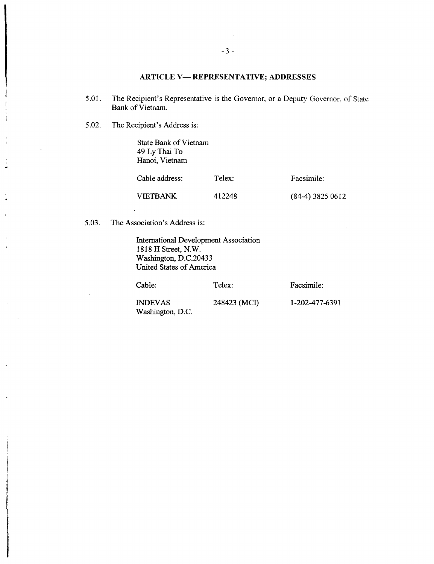# **ARTICLE V- REPRESENTATIVE; ADDRESSES**

- *5.01.* The Recipient's Representative is the Governor, or a Deputy Governor, of State Bank of Vietnam.
- *5.02.* The Recipient's Address is:

State Bank of Vietnam 49 **Ly** Thai To Hanoi, Vietnam

| Cable address:<br>VIETBANK | Telex:<br>412248 | Facsimile:<br>$(84-4)$ 3825 0612 |
|----------------------------|------------------|----------------------------------|
|----------------------------|------------------|----------------------------------|

*5.03.* The Association's Address is:

International Development Association **1818** H Street, N.W. Washington, D.C.20433 United States of America

Cable: Telex: Facsimile: **INDEVAS** 248423 **(MCI) 1-202-477-6391** Washington, **D.C.**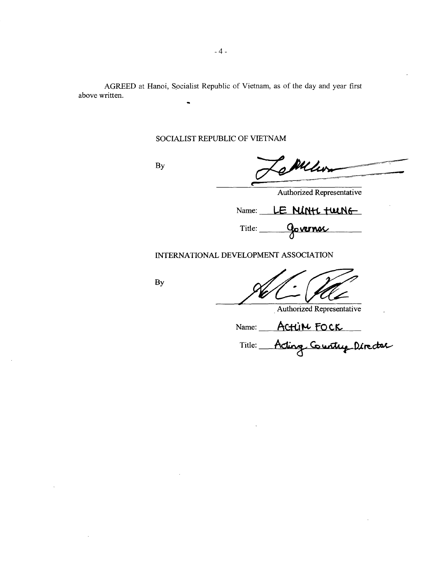**AGREED** at Hanoi, Socialist Republic of Vietnam, as of the day and year first above written.

# **SOCIALIST** REPUBLIC OF **VIETNAM**

**By**

WM

Authorized Representative

 $Name: **LE MINH full**$ 

Title: **Governor** 

**INTERNATIONAL DEVELOPMENT ASSOCIATION**

**By**

Authorized Representative

Name: Actu**M** FOCK

Title: Acting Country Director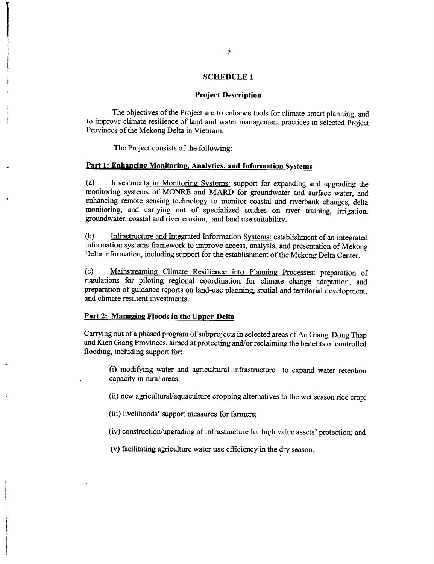#### **SCHEDULE 1**

#### **Project Description**

The objectives of the Project are to enhance tools for climate-smart planning, and to improve climate resilience of land and water management practices in selected Project Provinces of the Mekong Delta in Vietnam.

The Project consists of the following:

#### **Part 1: Enhancing Monitoring, Analytics, and Information Systems**

(a) Investments **in** Monitoring Systems: support for expanding and upgrading the monitoring systems of MONRE and MARD for groundwater and surface water, and enhancing remote sensing technology to monitor coastal and riverbank changes, delta monitoring, and carrying out of specialized studies on river training, irrigation, groundwater, coastal and river erosion, and land use suitability.

**(b)** Infrastructure and Integrated Information Systems: establishment of an integrated information systems framework to improve access, analysis, and presentation of Mekong Delta information, including support for the establishment of the Mekong Delta Center.

(c) Mainstreaming Climate Resilience into Planning Processes: preparation of regulations for piloting regional coordination for climate change adaptation, and preparation of guidance reports on land-use planning, spatial and territorial development, and climate resilient investments.

#### **Part** 2: **Managing Floods in the Upper Delta**

Carrying out of a phased program of subprojects in selected areas of An Giang, Dong Thap and Kien Giang Provinces, aimed at protecting and/or reclaiming the benefits of controlled flooding, including support for:

(i) modifying water and agricultural infrastructure to expand water retention capacity in rural areas;

(ii) new agricultural/aquaculture cropping alternatives to the wet season rice crop;

(iii) livelihoods' support measures for farmers;

(iv) construction/upgrading of infrastructure for high value assets' protection; and

(v) facilitating agriculture water use efficiency in the dry season.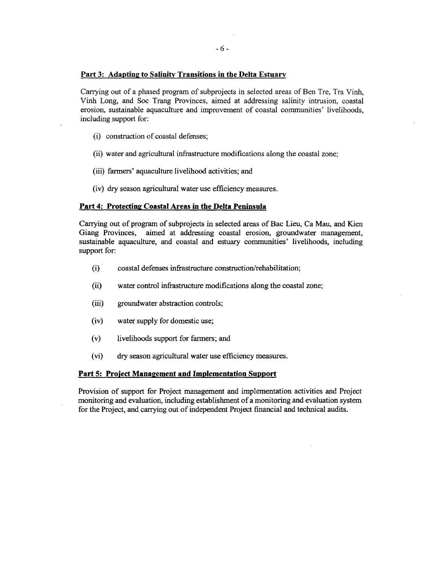# **Part 3: Adapting to Salinity Transitions in the Delta Estuary**

Carrying out of a phased program of subprojects in selected areas of Ben Tre, Tra Vinh, Vinh Long, and Soc Trang Provinces, aimed at addressing salinity intrusion, coastal erosion, sustainable aquaculture and improvement of coastal communities' livelihoods, including support for:

- (i) construction of coastal defenses;
- (ii) water and agricultural infrastructure modifications along the coastal zone;
- (iii) *farmers'* aquaculture livelihood activities; and
- (iv) dry season agricultural water use efficiency measures.

# **Part 4: Protecting Coastal Areas in the Delta Peninsula**

Carrying out of program of subprojects in selected areas of Bac Lieu, Ca Mau, and Kien sustainable aquaculture, and coastal and estuary communities' livelihoods, including support for:

- (i) coastal defenses infrastructure construction/rehabilitation;
- (ii) water control infrastructure modifications along the coastal zone;
- (iii) groundwater abstraction controls;
- (iv) water supply for domestic use;
- (v) livelihoods support for farmers; and
- (vi) dry season agricultural water use efficiency measures.

# **Part 5: Proiect Management and Implementation Support**

Provision of support for Project management and implementation activities and Project monitoring and evaluation, including establishment of a monitoring and evaluation system for the Project, and carrying out of independent Project financial and technical audits.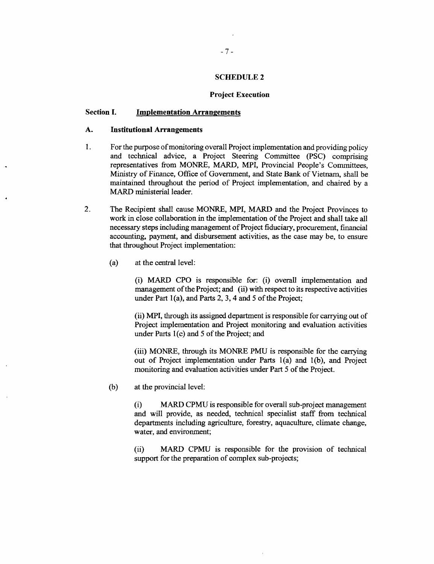# **SCHEDULE 2**

#### **Project Execution**

# **Section I. Implementation Arrangements**

# **A. Institutional Arrangements**

- 1. For the purpose of monitoring overall Project implementation and providing policy<br>and technical advice, a Project Steering Committee (PSC) comprising<br>representatives from MONRE, MARD, MPI, Provincial People's Committees maintained throughout the period of Project implementation, and chaired **by** <sup>a</sup> MARD ministerial leader.
- 2. The Recipient shall cause MONRE, MPI, MARD and the Project Provinces to work in close collaboration in the implementation of the Project and shall take all necessary steps including management of Project fiduciary, procurement, financial accounting, payment, and disbursement activities, as the case may be, to ensure that throughout Project implementation:
	- (a) at the central level:

(i) MARD **CPO** is responsible for: (i) overall implementation and management of the Project; and (ii) with respect to its respective activities under Part 1(a), and Parts 2, **3,** 4 and **5** of the Project;

(ii) MPI, through its assigned department is responsible for carrying out of Project implementation and Project monitoring and evaluation activities under Parts 1(c) and **5** of the Project; and

(iii) MONRE, through its MONRE **PMU** is responsible for the carrying out of Project implementation under Parts 1(a) and **1(b),** and Project monitoring and evaluation activities under Part **5** of the Project.

**(b)** at the provincial level:

(i) MARD **CPMU** is responsible for overall sub-project management and will provide, as needed, technical specialist staff from technical departments including agriculture, forestry, aquaculture, climate change, water, and environment;

(ii) MARD CPMU is responsible for the provision of technical support for the preparation of complex sub-projects;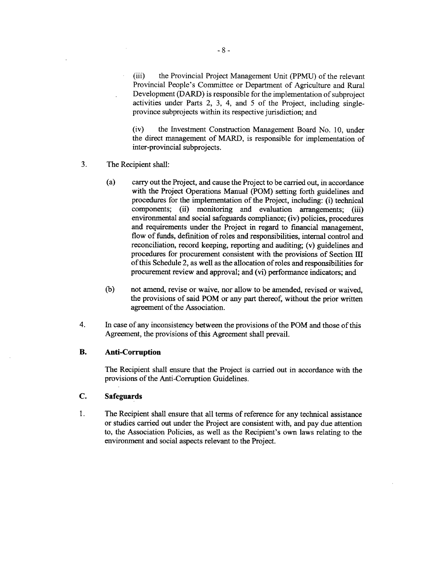(iii) the Provincial Project Management Unit **(PPMU)** of the relevant Provincial People's Committee or Department of Agriculture and Rural Development (DARD) is responsible for the implementation of subproject activities under Parts 2, **3,** 4, and **5** of the Project, including singleprovince subprojects within its respective jurisdiction; and

(iv) the Investment Construction Management Board No. **10,** under the direct management of MARD, is responsible for implementation of inter-provincial subprojects.

- **3.** The Recipient shall:
	- (a) carry out the Project, and cause the Project to be carried out, in accordance with the Project Operations Manual (POM) setting forth guidelines and procedures for the implementation of the Project, including: (i) technical components; (ii) monitoring and evaluation arrangements; (iii) environmental and social safeguards compliance; (iv) policies, procedures and requirements under the Project in regard to financial management, flow of funds, definition of roles and responsibilities, internal control and reconciliation, record keeping, reporting and auditing; (v) guidelines and procedures for procurement consistent with the provisions of Section **III** of this Schedule 2, as well as the allocation of roles and responsibilities for procurement review and approval; and (vi) performance indicators; and
	- **(b)** not amend, revise or waive, nor allow to be amended, revised or waived, the provisions of said POM or any part thereof, without the prior written agreement of the Association.
- 4. In case of any inconsistency between the provisions of the POM and those of this Agreement, the provisions of this Agreement shall prevail.

# B. **Anti-Corruption**

The Recipient shall ensure that the Project is carried out in accordance with the provisions of the Anti-Corruption Guidelines.

# **C. Safeguards**

1 **.** The Recipient shall ensure that all terms of reference for any technical assistance or studies carried out under the Project are consistent with, and pay due attention to, the Association Policies, as well as the Recipient's own laws relating to the environment and social aspects relevant to the Project.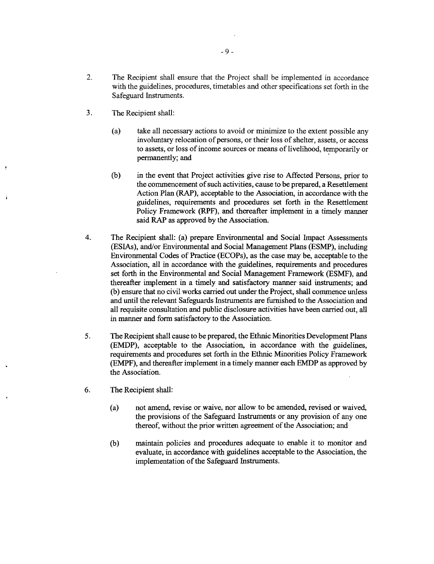- 2. The Recipient shall ensure that the Project shall be implemented in accordance with the guidelines, procedures, timetables and other specifications set forth in the Safeguard Instruments.
- **3.** The Recipient shall:
	- (a) take all necessary actions to avoid or minimize to the extent possible any involuntary relocation of persons, or their loss of shelter, assets, or access to assets, or loss of income sources or means of livelihood, temporarily or permanently; and
	- **(b)** in the event that Project activities give rise to Affected Persons, prior to the commencement of such activities, cause to be prepared, a Resettlement Action Plan (RAP), acceptable to the Association, in accordance with the guidelines, requirements and procedures set forth in the Resettlement Policy Framework (RPF), and thereafter implement in a timely manner said RAP as approved **by** the Association.
- 4. The Recipient shall: (a) prepare Environmental and Social Impact Assessments (ESIAs), and/or Environmental and Social Management Plans (ESMP), including Environmental Codes of Practice (ECOPs), as the case may be, acceptable to the Association, all in accordance with the guidelines, requirements and procedures set forth in the Environmental and Social Management Framework **(ESMF),** and thereafter implement in a timely and satisfactory manner said instruments; and **(b)** ensure that no civil works carried out under the Project, shall commence unless and until the relevant Safeguards Instruments are furnished to the Association and all requisite consultation and public disclosure activities have been carried out, all in manner and form satisfactory to the Association.
- **5.** The Recipient shall cause to be prepared, the Ethnic Minorities Development Plans **(EMDP),** acceptable to the Association, in accordance with the guidelines, requirements and procedures set forth in the Ethnic Minorities Policy Framework (EMPF), and thereafter implement in a timely manner each EMDP as approved **by** the Association.
- **6.** The Recipient shall:
	- (a) not amend, revise or waive, nor allow to be amended, revised or waived, the provisions of the Safeguard Instruments or any provision of any one thereof, without the prior written agreement of the Association; and
	- **(b)** maintain policies and procedures adequate to enable it to monitor and evaluate, in accordance with guidelines acceptable to the Association, the implementation of the Safeguard Instruments.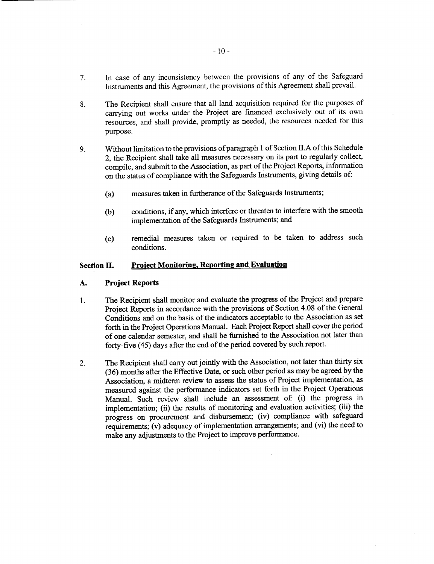- **7.** In case of any inconsistency between the provisions of any of the Safeguard Instruments and this Agreement, the provisions of this Agreement shall prevail.
- **8.** The Recipient shall ensure that all land acquisition required for the purposes of carrying out works under the Project are financed exclusively out of its own resources, and shall provide, promptly as needed, the resources needed for this purpose.
- **9.** Without limitation to the provisions of paragraph **I** of Section **II.A** of this Schedule 2, the Recipient shall take all measures necessary on its part to regularly collect, compile, and submit to the Association, as part of the Project Reports, information on the status of compliance with the Safeguards Instruments, giving details of:
	- (a) measures taken in furtherance of the Safeguards Instruments;
	- **(b)** conditions, if any, which interfere or threaten to interfere with the smooth implementation of the Safeguards Instruments; and
	- **(c)** remedial measures taken or required to be taken to address such conditions.

# **Section H. Project Monitoring. Reportinz and Evaluation**

## **A. Project Reports**

- **1.** The Recipient shall monitor and evaluate the progress of the Project and prepare Project Reports in accordance with the provisions of Section 4.08 of the General Conditions and on the basis of the indicators acceptable to the Association as set forth in the Project Operations Manual. Each Project Report shall cover the period of one calendar semester, and shall be furnished to the Association not later than forty-five (45) days after the end of the period covered **by** such report.
- 2. The Recipient shall carry out jointly with the Association, not later than thirty six **(36)** months after the Effective Date, or such other period as may be agreed **by** the Association, a midterm review to assess the status of Project implementation, as measured against the performance indicators set forth in the Project Operations Manual. Such review shall include an assessment of: (i) the progress in implementation; (ii) the results of monitoring and evaluation activities; (iii) the progress on procurement and disbursement; (iv) compliance with safeguard requirements; (v) adequacy of implementation arrangements; and (vi) the need to make any adjustments to the Project to improve performance.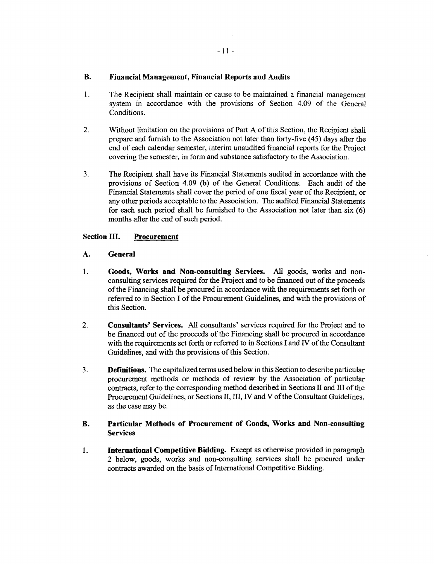# **B. Financial Management, Financial Reports and Audits**

- 1. The Recipient shall maintain or cause to be maintained a financial management system in accordance with the provisions of Section 4.09 of the General Conditions.
- 2. Without limitation on the provisions of Part A of this Section, the Recipient shall<br>prepare and furnish to the Association not later than forty-five (45) days after the<br>end of each calendar semester, interim unaudited f
- 3. The Recipient shall have its Financial Statements audited in accordance with the provisions of Section 4.09 (b) of the General Conditions. Each audit of the Financial Statements shall cover the period of one fiscal year

# **Section III. Procurement**

# **A. General**

- 1. Goods, Works and Non-consulting Services. All goods, works and non-consulting services required for the Project and to be financed out of the proceeds of the Financing shall be procured in accordance with the requiremen
- 2. **Consultants' Services.** All consultants' services required for the Project and to be financed out of the proceeds of the Financing shall be procured in accordance with the requirements set forth or referred to in Secti
- 3. **Definitions.** The capitalized terms used below in this Section to describe particular procurement methods or methods of review by the Association of particular contracts, refer to the corresponding method described in

# B. **Particular Methods of Procurement of Goods, Works and Non-consulting** Services

1. **International Competitive Bidding.** Except as otherwise provided in paragraph 2 below, goods, works and non-consulting services shall be procured under contracts awarded on the basis of International Competitive Biddin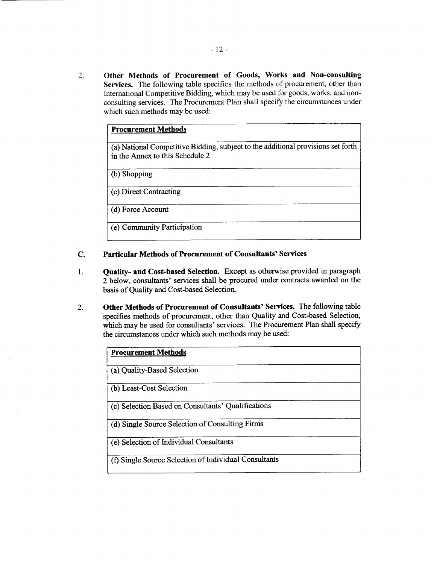**2. Other Methods of Procurement of Goods, Works and Non-consulting Services.** The following table specifies the methods of procurement, other than International Competitive Bidding, which may be used for goods, works, and nonconsulting services. The Procurement Plan shall specify the circumstances under which such methods may be used:

| <b>Procurement Methods</b>                                                                                          |  |  |
|---------------------------------------------------------------------------------------------------------------------|--|--|
| (a) National Competitive Bidding, subject to the additional provisions set forth<br>in the Annex to this Schedule 2 |  |  |
| (b) Shopping                                                                                                        |  |  |
| (c) Direct Contracting                                                                                              |  |  |
| (d) Force Account                                                                                                   |  |  |
| (e) Community Participation                                                                                         |  |  |

# **C. Particular Methods of Procurement of Consultants'** Services

- 1. **Quality- and Cost-based Selection. Except as otherwise provided in paragraph** 2 below, consultants' services shall be procured under contracts awarded on the basis of Quality and Cost-based Selection.
- 2. **Other Methods of Procurement of Consultants'** Services. The following table specifies methods of procurement, other than Quality and Cost-based Selection, which may be used for consultants' services. The Procurement Plan shall specify the circumstances under which such methods may be used:

| <b>Procurement Methods</b>                            |
|-------------------------------------------------------|
| (a) Quality-Based Selection                           |
| (b) Least-Cost Selection                              |
| (c) Selection Based on Consultants' Qualifications    |
| (d) Single Source Selection of Consulting Firms       |
| (e) Selection of Individual Consultants               |
| (f) Single Source Selection of Individual Consultants |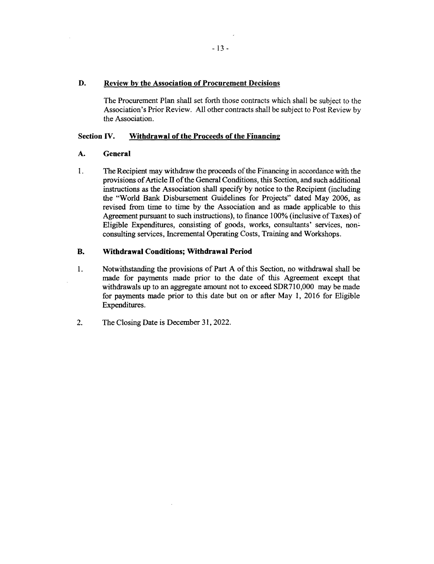# **D. Review by the Association of Procurement Decisions**

The Procurement Plan shall set forth those contracts which shall be subject to the Association's Prior Review. **All** other contracts shall be subject to Post Review **by** the Association.

# **Section IV. Withdrawal of the Proceeds of the Financing**

# **A. General**

1. The Recipient may withdraw the proceeds of the Financing in accordance with the provisions of Article II of the General Conditions, this Section, and such additional the "World Bank Disbursement Guidelines for Projects" dated May 2006, as revised from time to time **by** the Association and as made applicable to this Agreement pursuant to such instructions), to finance **100%** (inclusive of Taxes) of Eligible Expenditures, consisting of goods, works, consultants' services, nonconsulting services, Incremental Operating Costs, Training and Workshops.

# B. **Withdrawal Conditions; Withdrawal Period**

- **I.** Notwithstanding the provisions of Part **A** of this Section, no withdrawal shall be made for payments made prior to the date of this Agreement except that withdrawals up to an aggregate amount not to exceed **SDR710,000** may be made for payments made prior to this date but on or after May **1, 2016** for Eligible Expenditures.
- 2. The Closing Date is December **31,** 2022.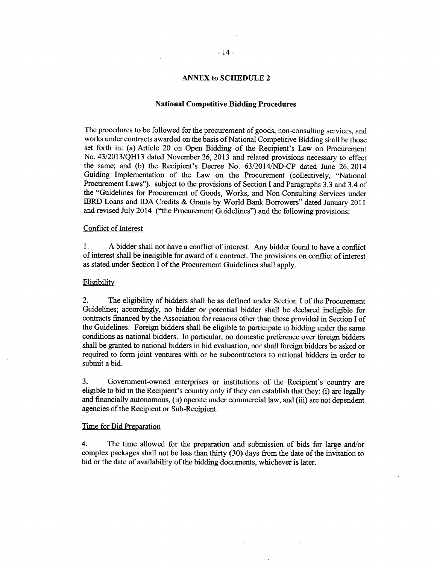#### **ANNEX to SCHEDULE 2**

# **National Competitive Bidding Procedures**

The procedures to be followed for the procurement of goods, non-consulting services, and works under contracts awarded on the basis of National Competitive Bidding shall be those set forth in: (a) Article 20 on Open Bidding of the Recipient's Law on Procurement No. **43/2013/QH13** dated November **26, 2013** and related provisions necessary to effect the same; and **(b)** the Recipient's Decree No. **63/2014/ND-CP** dated June **26,** 2014 Guiding Implementation of the Law on the Procurement (collectively, "National Procurement Laws"), subject to the provisions of Section I and Paragraphs **3.3** and 3.4 of the "Guidelines for Procurement of Goods, Works, and Non-Consulting Services under IBRD Loans and **IDA** Credits **&** Grants **by** World Bank Borrowers" dated January 2011 and revised July 2014 ("the Procurement Guidelines") and the following provisions:

# Conflict of Interest

**1. A** bidder shall not have a conflict of interest. Any bidder found to have a conflict of interest shall be ineligible for award of a contract. The provisions on conflict of interest as stated under Section **I** of the Procurement Guidelines shall apply.

#### Eligibility

2. The eligibility of bidders shall be as defined under Section **I** of the Procurement Guidelines; accordingly, no bidder or potential bidder shall be declared ineligible for contracts financed **by** the Association for reasons other than those provided in Section I of the Guidelines. Foreign bidders shall be eligible to participate in bidding under the same conditions as national bidders. In particular, no domestic preference over foreign bidders shall be granted to national bidders in bid evaluation, nor shall foreign bidders be asked or required to form joint ventures with or be subcontractors to national bidders in order to submit a bid.

**3.** Government-owned enterprises or institutions of the Recipient's country are eligible to bid in the Recipient's country only if they can establish that they: (i) are legally and financially autonomous, (ii) operate under commercial law, and (iii) are not dependent agencies of the Recipient or Sub-Recipient.

# Time for Bid Preparation

4. The time allowed for the preparation and submission of bids for large and/or complex packages shall not be less than thirty **(30)** days from the date of the invitation to bid or the date of availability of the bidding documents, whichever is later.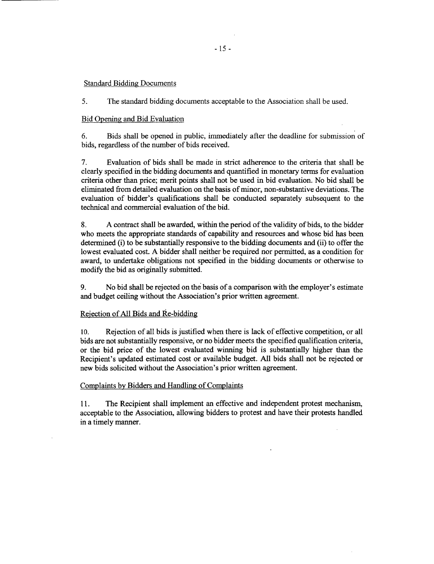# Standard Bidding Documents

*5.* The standard bidding documents acceptable to the Association shall be used.

#### Bid Opening and Bid Evaluation

**6.** Bids shall be opened in public, immediately after the deadline for submission of bids, regardless of the number of bids received.

**7.** Evaluation of bids shall be made in strict adherence to the criteria that shall be clearly specified in the bidding documents and quantified in monetary terms for evaluation criteria other than price; merit points shall not be used in bid evaluation. No bid shall be eliminated from detailed evaluation on the basis of minor, non-substantive deviations. The evaluation of bidder's qualifications shall be conducted separately subsequent to the technical and commercial evaluation of the bid.

**8. A** contract shall be awarded, within the period of the validity of bids, to the bidder who meets the appropriate standards of capability and resources and whose bid has been determined (i) to be substantially responsive to the bidding documents and (ii) to offer the lowest evaluated cost. **A** bidder shall neither be required nor permitted, as a condition for award, to undertake obligations not specified in the bidding documents or otherwise to modify the bid as originally submitted.

**9.** No bid shall be rejected on the basis of a comparison with the employer's estimate and budget ceiling without the Association's prior written agreement.

# Rejection of **All** Bids and Re-bidding

**10.** Rejection of all bids is justified when there is lack of effective competition, or all bids are not substantially responsive, or no bidder meets the specified qualification criteria, or the bid price of the lowest evaluated winning bid is substantially higher than the Recipient's updated estimated cost or available budget. **All** bids shall not be rejected or new bids solicited without the Association's prior written agreement.

### Complaints **by** Bidders and Handling of Complaints

**11.** The Recipient shall implement an effective and independent protest mechanism, acceptable to the Association, allowing bidders to protest and have their protests handled **in** a timely manner.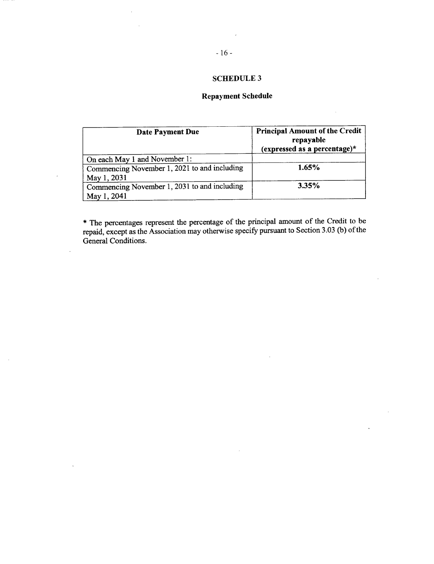# **SCHEDULE 3**

# **Repayment Schedule**

 $\mathcal{L}_{\mathcal{A}}$ 

| Date Payment Due                                            | <b>Principal Amount of the Credit</b><br>repayable<br>(expressed as a percentage)* |
|-------------------------------------------------------------|------------------------------------------------------------------------------------|
| On each May 1 and November 1:                               |                                                                                    |
| Commencing November 1, 2021 to and including<br>May 1, 2031 | $1.65\%$                                                                           |
| Commencing November 1, 2031 to and including<br>May 1, 2041 | 3.35%                                                                              |

 $\overline{\phantom{a}}$ 

 $\ddot{\phantom{a}}$ 

 $\overline{a}$ 

 $\mathcal{A}$ 

**\*** The percentages represent the percentage of the principal amount of the Credit to be repaid, except as the Association may otherwise specify pursuant to Section **3.03 (b)** of the General Conditions.

 $\sim$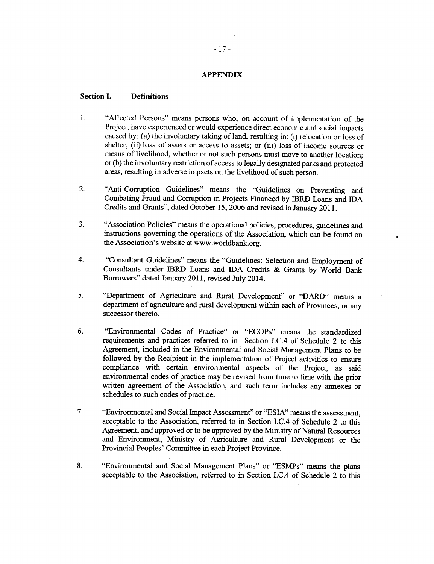# **APPENDIX**

## **Section 1. Definitions**

- 1. "Affected Persons" means persons who, on account of implementation of the Project, have experienced or would experience direct economic and social impacts caused **by:** (a) the involuntary taking of land, resulting in: **(i)** relocation or loss of shelter; (ii) loss of assets or access to assets; or (iii) loss of income sources or means of livelihood, whether or not such persons must move to another location; or **(b)** the involuntary restriction of access to legally designated parks and protected areas, resulting in adverse impacts on the livelihood of such person.
- 2. "Anti-Corruption Guidelines" means the "Guidelines on Preventing and Combating Fraud and Corruption in Projects Financed **by** IBRD Loans and **IDA** Credits and Grants", dated October *15,* **2006** and revised in January **2011.**
- **3.** "Association Policies" means the operational policies, procedures, guidelines and instructions governing the operations of the Association, which can be found on the Association's website at www.worldbank.org.

 $\ddot{\bullet}$ 

- 4. "Consultant Guidelines" means the "Guidelines: Selection and Employment of Consultants under IBRD Loans and IDA Credits **&** Grants **by** World Bank Borrowers" dated January **2011,** revised July 2014.
- *5.* "Department of Agriculture and Rural Development" or "DARD" means a department of agriculture and rural development within each of Provinces, or any successor thereto.
- **6.** "Environmental Codes of Practice" or "ECOPs" means the standardized requirements and practices referred to in Section I.C.4 of Schedule 2 to this Agreement, included in the Environmental and Social Management Plans to be followed **by** the Recipient in the implementation of Project activities to ensure compliance with certain environmental aspects of the Project, as said environmental codes of practice may be revised from time to time with the prior written agreement of the Association, and such term includes any annexes or schedules to such codes of practice.
- *7.* "Environmental and Social Impact Assessment" or "ESIA" means the assessment, acceptable to the Association, referred to in Section I.C.4 of Schedule 2 to this Agreement, and approved or to be approved **by** the Ministry of Natural Resources and Environment, Ministry of Agriculture and Rural Development or the Provincial Peoples' Committee in each Project Province.
- **8.** "Environmental and Social Management Plans" or "ESMPs" means the plans acceptable to the Association, referred to in Section I.C.4 of Schedule 2 to this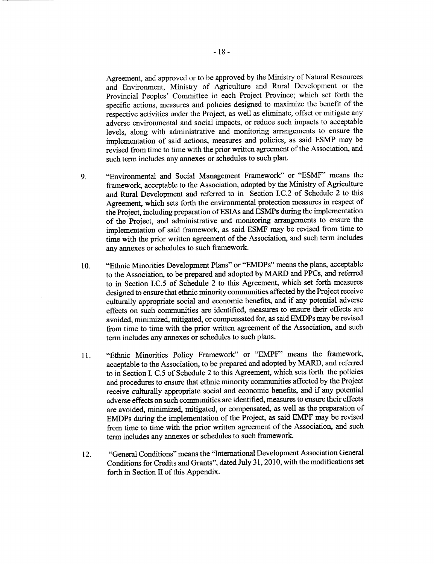Agreement, and approved or to be approved **by** the Ministry of Natural Resources and Environment, Ministry of Agriculture and Rural Development or the Provincial Peoples' Committee in each Project Province; which set forth the specific actions, measures and policies designed to maximize the benefit of the respective activities under the Project, as well as eliminate, offset or mitigate any adverse environmental and social impacts, or reduce such impacts to acceptable levels, along with administrative and monitoring arrangements to ensure the implementation of said actions, measures and policies, as said **ESMP** may be revised from time to time with the prior written agreement of the Association, and such term includes any annexes or schedules to such plan.

- **9.** "Environmental and Social Management Framework" or **"ESMF"** means the framework, acceptable to the Association, adopted **by** the Ministry of Agriculture and Rural Development and referred to in Section **I.C.2** of Schedule 2 to this Agreement, which sets forth the environmental protection measures in respect of the Project, including preparation of ESIAs and ESMPs during the implementation of the Project, and administrative and monitoring arrangements to ensure the implementation of said framework, as said **ESMF** may be revised from time to time with the prior written agreement of the Association, and such term includes any annexes or schedules to such framework.
- **10.** "Ethnic Minorities Development Plans" or "EMDPs" means the plans, acceptable to the Association, to be prepared and adopted **by** MARD and PPCs, and referred to in Section **I.C.5** of Schedule 2 to this Agreement, which set forth measures designed to ensure that ethnic minority communities affected **by** the Project receive culturally appropriate social and economic benefits, and if any potential adverse effects on such communities are identified, measures to ensure their effects are avoided, minimized, mitigated, or compensated for, as said EMDPs may be revised from time to time with the prior written agreement of the Association, and such term includes any annexes or schedules to such plans.
- **11.** "Ethnic Minorities Policy Framework" or "EMPF" means the framework, acceptable to the Association, to be prepared and adopted **by** MARD, and referred to in Section I. *C.5* of Schedule 2 to this Agreement, which sets forth the policies and procedures to ensure that ethnic minority communities affected **by** the Project receive culturally appropriate social and economic benefits, and if any potential adverse effects on such communities are identified, measures to ensure their effects are avoided, minimized, mitigated, or compensated, as well as the preparation of EMDPs during the implementation of the Project, as said EMPF may be revised from time to time with the prior written agreement of the Association, and such term includes any annexes or schedules to such framework.
- 12. "General Conditions" means the "International Development Association General Conditions for Credits and Grants", dated July **31, 2010,** with the modifications set forth in Section II of this Appendix.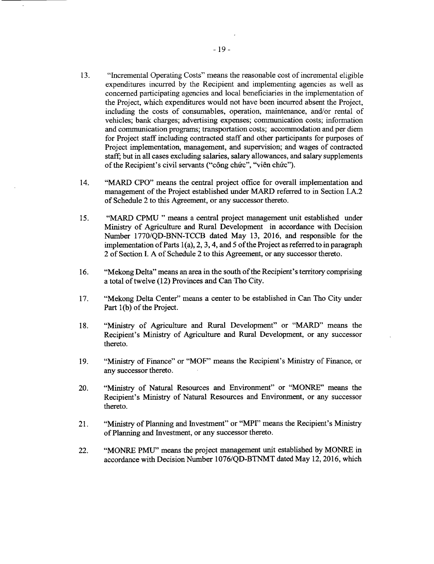- **13.** "Incremental Operating Costs" means the reasonable cost of incremental eligible expenditures incurred **by** the Recipient and implementing agencies as well as concerned participating agencies and local beneficiaries in the implementation of the Project, which expenditures would not have been incurred absent the Project, including the costs of consumables, operation, maintenance, and/or rental of vehicles; bank charges; advertising expenses; communication costs; information and communication programs; transportation costs; accommodation and per diem for Project staff including contracted staff and other participants for purposes of Project implementation, management, and supervision; and wages of contracted staff, but in all cases excluding salaries, salary allowances, and salary supplements of the Recipient's civil servants ("công chức", "viên chức").
- 14. "MARD **CPO"** means the central project office for overall implementation and management of the Project established under MARD referred to in Section I.A.2 of Schedule 2 to this Agreement, or any successor thereto.
- *15.* "MARD **CPMU "** means a central project management unit established under Ministry of Agriculture and Rural Development in accordance with Decision Number **1770/QD-BNN-TCCB** dated May **13, 2016,** and responsible for the implementation of Parts 1(a), 2, **3,** 4, and *5* of the Project as referred to in paragraph 2 of Section **I. A** of Schedule 2 to this Agreement, or any successor thereto.
- **16.** "Mekong Delta" means an area in the south of the Recipient's territory comprising a total of twelve (12) Provinces and Can Tho City.
- **17.** "Mekong Delta Center" means a center to be established in Can Tho City under Part **1(b)** of the Project.
- **18.** "Ministry of Agriculture and Rural Development" or "MARD" means the Recipient's Ministry of Agriculture and Rural Development, or any successor thereto.
- **19.** "Ministry of Finance" or "MOF" means the Recipient's Ministry of Finance, or any successor thereto.
- 20. "Ministry of Natural Resources and Environment" or "MONRE" means the Recipient's Ministry of Natural Resources and Environment, or any successor thereto.
- 21. "Ministry of Planning and Investment" or "MPI" means the Recipient's Ministry of Planning and Investment, or any successor thereto.
- 22. "MONRE **PMU'** means the project management unit established **by** MONRE in accordance with Decision Number **1076/QD-BTNMT** dated May 12, **2016,** which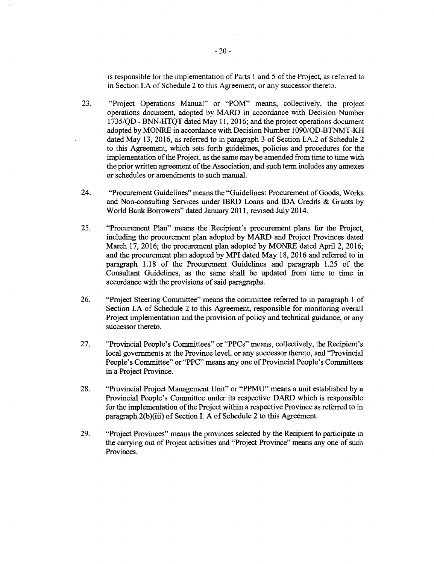is responsible for the implementation of Parts **I** and **5** of the Project, as referred to in Section **I.A** of Schedule 2 to this Agreement, or any successor thereto.

- **23.** "Project Operations Manual" or "POM" means, collectively, the project operations document, adopted **by** MARD in accordance with Decision Number *1735/QD* **- BNN-HTQT** dated May **11, 2016;** and the project operations document adopted **by** MONRE in accordance with Decision Number 1090/QD-BTNMT-KH dated May **13, 2016,** as referred to in paragraph **3** of Section **I.A.2** of Schedule 2 to this Agreement, which sets forth guidelines, policies and procedures for the implementation of the Project, as the same may be amended from time to time with the prior written agreement of the Association, and such term includes any annexes or schedules or amendments to such manual.
- 24. "Procurement Guidelines" means the "Guidelines: Procurement of Goods, Works and Non-consulting Services under IBRD Loans and **IDA** Credits **&** Grants **by** World Bank Borrowers" dated January **2011,** revised July 2014.
- *25.* "Procurement Plan" means the Recipient's procurement plans for the Project, including the procurement plan adopted **by** MARD and Project Provinces dated March **17, 2016;** the procurement plan adopted **by** MONRE dated April 2, **2016;** and the procurement plan adopted **by** MPI dated May **18, 2016** and referred to in paragraph **1.18** of the Procurement Guidelines and paragraph **1.25** of the Consultant Guidelines, as the same shall be updated from time to time in accordance with the provisions of said paragraphs.
- **26.** "Project Steering Committee" means the committee referred to in paragraph 1 of Section I.A of Schedule 2 to this Agreement, responsible for monitoring overall Project implementation and the provision of policy and technical guidance, or any successor thereto.
- **27.** "Provincial People's Committees" or "PPCs" means, collectively, the Recipient's local governments at the Province level, or any successor thereto, and "Provincial People's Committee" or "PPC" means any one of Provincial People's Committees in a Project Province.
- **28.** "Provincial Project Management Unit" or "PPMU" means a unit established **by** a Provincial People's Committee under its respective DARD which is responsible for the implementation of the Project within a respective Province as referred to in paragraph 2(b)(iii) of Section **I. A** of Schedule 2 to this Agreement.
- **29.** "Project Provinces" means the provinces selected **by** the Recipient to participate in the carrying out of Project activities and "Project Province" means any one of such Provinces.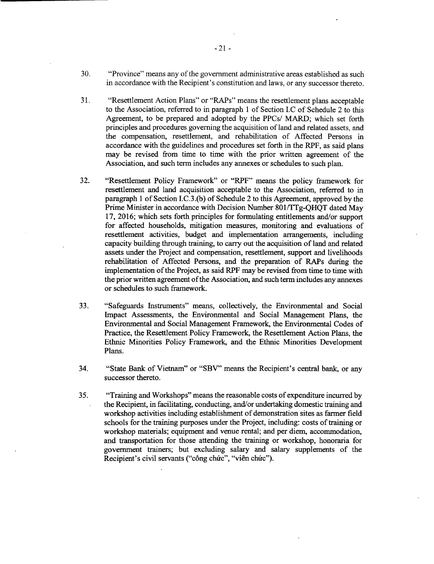- **30.** "Province" means any of the government administrative areas established as such in accordance with the Recipient's constitution and laws, or any successor thereto.
- **31.** "Resettlement Action Plans" or "RAPs" means the resettlement plans acceptable to the Association, referred to in paragraph 1 of Section I.C of Schedule 2 to this Agreement, to be prepared and adopted **by** the PPCs/ MARD; which set forth principles and procedures governing the acquisition of land and related assets, and the compensation, resettlement, and rehabilitation of Affected Persons in accordance with the guidelines and procedures set forth in the RPF, as said plans may be revised from time to time with the prior written agreement of the Association, and such term includes any annexes or schedules to such plan.
- **32.** "Resettlement Policy Framework" or "RPF" means the policy framework for resettlement and land acquisition acceptable to the Association, referred to in paragraph 1 of Section **I.C.3.(b)** of Schedule 2 to this Agreement, approved **by** the Prime Minister in accordance with Decision Number 801/TTg-QHQT dated May **17, 2016;** which sets forth principles for formulating entitlements and/or support for affected households, mitigation measures, monitoring and evaluations of resettlement activities, budget and implementation arrangements, including capacity building through training, to carry out the acquisition of land and related assets under the Project and compensation, resettlement, support and livelihoods rehabilitation of Affected Persons, and the preparation of RAPs during the implementation of the Project, as said RPF may be revised from time to time with the prior written agreement of the Association, and such term includes any annexes or schedules to such framework.
- **33.** "Safeguards Instruments" means, collectively, the Environmental and Social Impact Assessments, the Environmental and Social Management Plans, the Environmental and Social Management Framework, the Environmental Codes of Practice, the Resettlement Policy Framework, the Resettlement Action Plans, the Ethnic Minorities Policy Framework, and the Ethnic Minorities Development Plans.
- 34. "State Bank of Vietnam" or "SBV" means the Recipient's central bank, or any successor thereto.
- *35.* "Training and Workshops" means the reasonable costs of expenditure incurred **by** the Recipient, in facilitating, conducting, and/or undertaking domestic training and workshop activities including establishment of demonstration sites as farmer field schools for the training purposes under the Project, including: costs of training or workshop materials; equipment and venue rental; and per diem, accommodation, and transportation for those attending the training or workshop, honoraria for government trainers; but excluding salary and salary supplements of the Recipient's civil servants ("công chức", "viên chức").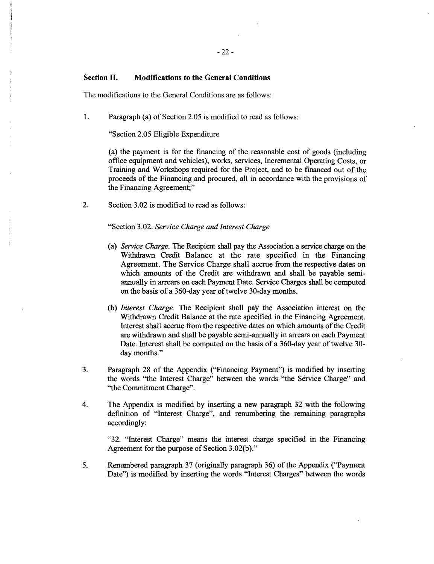# **Section H. Modifications to the General Conditions**

The modifications to the General Conditions are as follows:

1. Paragraph (a) of Section **2.05** is modified to read as follows:

"Section **2.05** Eligible Expenditure

(a) the payment is for the financing of the reasonable cost of goods (including office equipment and vehicles), works, services, Incremental Operating Costs, or Training and Workshops required for the Project, and to be financed out of the proceeds of the Financing and procured, all in accordance with the provisions of the Financing Agreement;"

2. Section **3.02** is modified to read as follows:

# "Section **3.02.** *Service Charge and Interest Charge*

- (a) *Service Charge.* The Recipient shall pay the Association a service charge on the Withdrawn Credit Balance at the rate specified in the Financing Agreement. The Service Charge shall accrue from the respective dates on which amounts of the Credit are withdrawn and shall be payable semiannually in arrears on each Payment Date. Service Charges shall be computed on the basis of a 360-day year of twelve 30-day months.
- **(b)** *Interest Charge.* The Recipient shall pay the Association interest on the Withdrawn Credit Balance at the rate specified in the Financing Agreement. Interest shall accrue from the respective dates on which amounts of the Credit are withdrawn and shall be payable semi-annually **in** arrears on each Payment Date. Interest shall be computed on the basis of a 360-day year of twelve **30** day months."
- **3.** Paragraph **28** of the Appendix ("Financing Payment") is modified **by** inserting the words "the Interest Charge" between the words "the Service Charge" and "the Commitment Charge".
- 4. The Appendix is modified **by** inserting a new paragraph **32** with the following definition of "Interest Charge", and renumbering the remaining paragraphs accordingly:

**"32.** "Interest Charge" means the interest charge specified **in** the Financing Agreement for the purpose of Section **3.02(b)."**

*5.* Renumbered paragraph **37** (originally paragraph **36)** of the Appendix ("Payment Date") is modified **by** inserting the words "Interest Charges" between the words